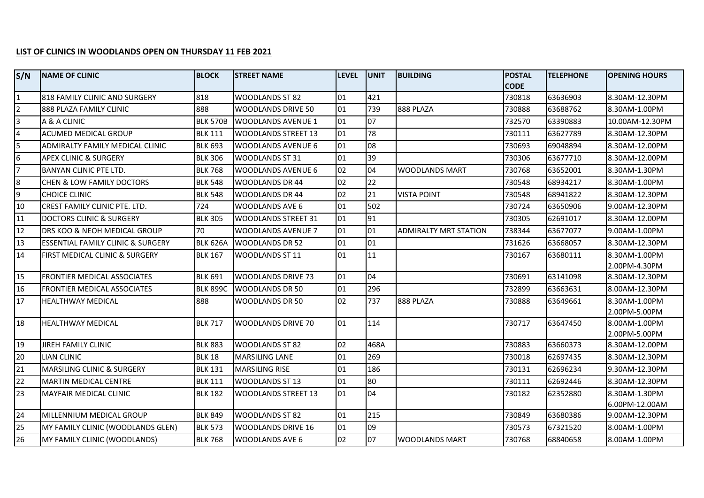## **LIST OF CLINICS IN WOODLANDS OPEN ON THURSDAY 11 FEB 2021**

| S/N | <b>NAME OF CLINIC</b>                     | <b>BLOCK</b>    | <b>STREET NAME</b>         | <b>ILEVEL</b> | <b>JUNIT</b> | <b>BUILDING</b>              | <b>POSTAL</b><br><b>CODE</b> | <b>TELEPHONE</b> | <b>OPENING HOURS</b>                            |
|-----|-------------------------------------------|-----------------|----------------------------|---------------|--------------|------------------------------|------------------------------|------------------|-------------------------------------------------|
|     | 818 FAMILY CLINIC AND SURGERY             | 818             | <b>WOODLANDS ST 82</b>     | 01            | 421          |                              | 730818                       | 63636903         | 8.30AM-12.30PM                                  |
|     | 888 PLAZA FAMILY CLINIC                   | 888             | <b>WOODLANDS DRIVE 50</b>  | 01            | 739          | 888 PLAZA                    | 730888                       | 63688762         | 8.30AM-1.00PM                                   |
| 3   | A & A CLINIC                              | <b>BLK 570B</b> | <b>WOODLANDS AVENUE 1</b>  | 01            | 07           |                              | 732570                       | 63390883         | 10.00AM-12.30PM                                 |
|     | <b>ACUMED MEDICAL GROUP</b>               | <b>BLK 111</b>  | <b>WOODLANDS STREET 13</b> | 01            | 78           |                              | 730111                       | 63627789         | 8.30AM-12.30PM                                  |
| 5   | ADMIRALTY FAMILY MEDICAL CLINIC           | <b>BLK 693</b>  | <b>WOODLANDS AVENUE 6</b>  | 01            | 08           |                              | 730693                       | 69048894         | 8.30AM-12.00PM                                  |
| 6   | <b>APEX CLINIC &amp; SURGERY</b>          | <b>BLK 306</b>  | <b>WOODLANDS ST 31</b>     | 01            | 39           |                              | 730306                       | 63677710         | 8.30AM-12.00PM                                  |
|     | <b>BANYAN CLINIC PTE LTD.</b>             | <b>BLK 768</b>  | <b>WOODLANDS AVENUE 6</b>  | 02            | 04           | <b>WOODLANDS MART</b>        | 730768                       | 63652001         | 8.30AM-1.30PM                                   |
| 8   | CHEN & LOW FAMILY DOCTORS                 | <b>BLK 548</b>  | <b>WOODLANDS DR 44</b>     | 02            | 22           |                              | 730548                       | 68934217         | 8.30AM-1.00PM                                   |
| 9   | <b>CHOICE CLINIC</b>                      | <b>BLK 548</b>  | <b>WOODLANDS DR 44</b>     | 02            | 21           | <b>VISTA POINT</b>           | 730548                       | 68941822         | 8.30AM-12.30PM                                  |
| 10  | CREST FAMILY CLINIC PTE. LTD.             | 724             | <b>WOODLANDS AVE 6</b>     | 01            | 502          |                              | 730724                       | 63650906         | 9.00AM-12.30PM                                  |
| 11  | <b>DOCTORS CLINIC &amp; SURGERY</b>       | <b>BLK 305</b>  | <b>WOODLANDS STREET 31</b> | 01            | 91           |                              | 730305                       | 62691017         | 8.30AM-12.00PM                                  |
| 12  | <b>DRS KOO &amp; NEOH MEDICAL GROUP</b>   | 70              | <b>WOODLANDS AVENUE 7</b>  | 01            | 01           | <b>ADMIRALTY MRT STATION</b> | 738344                       | 63677077         | 9.00AM-1.00PM                                   |
| 13  | ESSENTIAL FAMILY CLINIC & SURGERY         | <b>BLK 626A</b> | <b>WOODLANDS DR 52</b>     | 01            | 01           |                              | 731626                       | 63668057         | 8.30AM-12.30PM                                  |
| 14  | <b>FIRST MEDICAL CLINIC &amp; SURGERY</b> | <b>BLK 167</b>  | WOODLANDS ST 11            | 01            | 11           |                              | 730167                       | 63680111         | 8.30AM-1.00PM                                   |
|     |                                           |                 |                            |               |              |                              |                              |                  | 2.00PM-4.30PM                                   |
| 15  | <b>FRONTIER MEDICAL ASSOCIATES</b>        | <b>BLK 691</b>  | <b>WOODLANDS DRIVE 73</b>  | 01            | 04           |                              | 730691                       | 63141098         | 8.30AM-12.30PM                                  |
| 16  | <b>FRONTIER MEDICAL ASSOCIATES</b>        | <b>BLK 899C</b> | <b>WOODLANDS DR 50</b>     | 01            | 296          |                              | 732899                       | 63663631         | 8.00AM-12.30PM                                  |
| 17  | <b>HEALTHWAY MEDICAL</b>                  | 888             | WOODLANDS DR 50            | 02            | 737          | 888 PLAZA                    | 730888                       | 63649661         | 8.30AM-1.00PM                                   |
| 18  | <b>HEALTHWAY MEDICAL</b>                  | <b>BLK 717</b>  | <b>WOODLANDS DRIVE 70</b>  | 01            | 114          |                              | 730717                       | 63647450         | 2.00PM-5.00PM<br>8.00AM-1.00PM<br>2.00PM-5.00PM |
| 19  | <b>JIREH FAMILY CLINIC</b>                | <b>BLK 883</b>  | <b>WOODLANDS ST 82</b>     | 02            | 468A         |                              | 730883                       | 63660373         | 8.30AM-12.00PM                                  |
| 20  | <b>LIAN CLINIC</b>                        | <b>BLK 18</b>   | <b>MARSILING LANE</b>      | 01            | 269          |                              | 730018                       | 62697435         | 8.30AM-12.30PM                                  |
| 21  | <b>MARSILING CLINIC &amp; SURGERY</b>     | <b>BLK 131</b>  | <b>MARSILING RISE</b>      | 01            | 186          |                              | 730131                       | 62696234         | 9.30AM-12.30PM                                  |
| 22  | <b>MARTIN MEDICAL CENTRE</b>              | <b>BLK 111</b>  | <b>WOODLANDS ST 13</b>     | 01            | 80           |                              | 730111                       | 62692446         | 8.30AM-12.30PM                                  |
| 23  | <b>MAYFAIR MEDICAL CLINIC</b>             | <b>BLK 182</b>  | <b>WOODLANDS STREET 13</b> | 01            | 04           |                              | 730182                       | 62352880         | 8.30AM-1.30PM                                   |
|     |                                           |                 |                            |               |              |                              |                              |                  | 6.00PM-12.00AM                                  |
| 24  | MILLENNIUM MEDICAL GROUP                  | <b>BLK 849</b>  | <b>WOODLANDS ST 82</b>     | 01            | 215          |                              | 730849                       | 63680386         | 9.00AM-12.30PM                                  |
| 25  | MY FAMILY CLINIC (WOODLANDS GLEN)         | <b>BLK 573</b>  | <b>WOODLANDS DRIVE 16</b>  | 01            | 09           |                              | 730573                       | 67321520         | 8.00AM-1.00PM                                   |
| 26  | MY FAMILY CLINIC (WOODLANDS)              | <b>BLK 768</b>  | <b>WOODLANDS AVE 6</b>     | 02            | 07           | <b>WOODLANDS MART</b>        | 730768                       | 68840658         | 8.00AM-1.00PM                                   |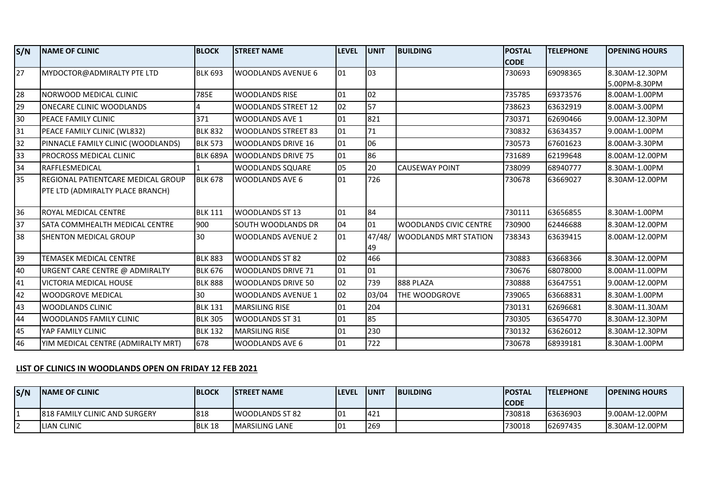| S/N             | <b>NAME OF CLINIC</b>               | <b>BLOCK</b>    | <b>STREET NAME</b>         | <b>LEVEL</b> | <b>UNIT</b>  | <b>BUILDING</b>                | <b>POSTAL</b> | <b>TELEPHONE</b> | <b>OPENING HOURS</b> |
|-----------------|-------------------------------------|-----------------|----------------------------|--------------|--------------|--------------------------------|---------------|------------------|----------------------|
|                 |                                     |                 |                            |              |              |                                | <b>CODE</b>   |                  |                      |
| $\overline{27}$ | MYDOCTOR@ADMIRALTY PTE LTD          | <b>BLK 693</b>  | <b>WOODLANDS AVENUE 6</b>  | 101          | $ 03\rangle$ |                                | 730693        | 69098365         | 8.30AM-12.30PM       |
|                 |                                     |                 |                            |              |              |                                |               |                  | 5.00PM-8.30PM        |
| 28              | NORWOOD MEDICAL CLINIC              | 785E            | <b>WOODLANDS RISE</b>      | 01           | 02           |                                | 735785        | 69373576         | 8.00AM-1.00PM        |
| 29              | ONECARE CLINIC WOODLANDS            |                 | <b>WOODLANDS STREET 12</b> | 02           | 57           |                                | 738623        | 63632919         | 8.00AM-3.00PM        |
| 30              | PEACE FAMILY CLINIC                 | 371             | <b>WOODLANDS AVE 1</b>     | 01           | 821          |                                | 730371        | 62690466         | 9.00AM-12.30PM       |
| 31              | PEACE FAMILY CLINIC (WL832)         | <b>BLK 832</b>  | <b>WOODLANDS STREET 83</b> | 01           | 71           |                                | 730832        | 63634357         | 9.00AM-1.00PM        |
| 32              | PINNACLE FAMILY CLINIC (WOODLANDS)  | <b>BLK 573</b>  | <b>WOODLANDS DRIVE 16</b>  | 101          | 06           |                                | 730573        | 67601623         | 8.00AM-3.30PM        |
| 33              | PROCROSS MEDICAL CLINIC             | <b>BLK 689A</b> | <b>WOODLANDS DRIVE 75</b>  | 01           | 86           |                                | 731689        | 62199648         | 8.00AM-12.00PM       |
| 34              | <b>RAFFLESMEDICAL</b>               |                 | <b>WOODLANDS SQUARE</b>    | 05           | 20           | <b>CAUSEWAY POINT</b>          | 738099        | 68940777         | 8.30AM-1.00PM        |
| 35              | IREGIONAL PATIENTCARE MEDICAL GROUP | <b>BLK 678</b>  | <b>WOODLANDS AVE 6</b>     | 01           | 726          |                                | 730678        | 63669027         | 8.30AM-12.00PM       |
|                 | PTE LTD (ADMIRALTY PLACE BRANCH)    |                 |                            |              |              |                                |               |                  |                      |
| 36              | <b>ROYAL MEDICAL CENTRE</b>         | <b>BLK 111</b>  | <b>WOODLANDS ST 13</b>     | 101          | 84           |                                | 730111        | 63656855         | 8.30AM-1.00PM        |
|                 |                                     |                 |                            |              |              |                                |               |                  |                      |
| 37              | SATA COMMHEALTH MEDICAL CENTRE      | 900             | SOUTH WOODLANDS DR         | 04           | 01           | <b>IWOODLANDS CIVIC CENTRE</b> | 730900        | 62446688         | 8.30AM-12.00PM       |
| 38              | <b>SHENTON MEDICAL GROUP</b>        | 30              | <b>WOODLANDS AVENUE 2</b>  | 01           | 47/48/<br>49 | <b>WOODLANDS MRT STATION</b>   | 738343        | 63639415         | 8.00AM-12.00PM       |
| 39              | TEMASEK MEDICAL CENTRE              | <b>BLK 883</b>  | <b>WOODLANDS ST 82</b>     | 02           | 466          |                                | 730883        | 63668366         | 8.30AM-12.00PM       |
| 40              | URGENT CARE CENTRE @ ADMIRALTY      | <b>BLK 676</b>  | <b>WOODLANDS DRIVE 71</b>  | 01           | 01           |                                | 730676        | 68078000         | 8.00AM-11.00PM       |
| 41              | VICTORIA MEDICAL HOUSE              | <b>BLK 888</b>  | <b>WOODLANDS DRIVE 50</b>  | 02           | 739          | 888 PLAZA                      | 730888        | 63647551         | 9.00AM-12.00PM       |
| 42              | <b>WOODGROVE MEDICAL</b>            | 30              | <b>WOODLANDS AVENUE 1</b>  | 02           | 03/04        | THE WOODGROVE                  | 739065        | 63668831         | 8.30AM-1.00PM        |
| 43              | <b>WOODLANDS CLINIC</b>             | <b>BLK 131</b>  | <b>MARSILING RISE</b>      | 01           | 204          |                                | 730131        | 62696681         | 8.30AM-11.30AM       |
| 44              | WOODLANDS FAMILY CLINIC             | <b>BLK 305</b>  | WOODLANDS ST 31            | 01           | 85           |                                | 730305        | 63654770         | 8.30AM-12.30PM       |
| 45              | YAP FAMILY CLINIC                   | <b>BLK 132</b>  | <b>MARSILING RISE</b>      | 01           | 230          |                                | 730132        | 63626012         | 8.30AM-12.30PM       |
| 46              | YIM MEDICAL CENTRE (ADMIRALTY MRT)  | 678             | <b>WOODLANDS AVE 6</b>     | 01           | 722          |                                | 730678        | 68939181         | 8.30AM-1.00PM        |

## **LIST OF CLINICS IN WOODLANDS OPEN ON FRIDAY 12 FEB 2021**

| S/N      | <b>INAME OF CLINIC</b>                | <b>IBLOCK</b> | <b>ISTREET NAME</b>     | <b>'LEVEL</b> | <b>IUNIT</b> | <b>IBUILDING</b> | <b>IPOSTAL</b> | <b>ITELEPHONE</b> | <b>TOPENING HOURS</b> |
|----------|---------------------------------------|---------------|-------------------------|---------------|--------------|------------------|----------------|-------------------|-----------------------|
|          |                                       |               |                         |               |              |                  | <b>CODE</b>    |                   |                       |
|          | <b>1818 FAMILY CLINIC AND SURGERY</b> | 818           | <b>IWOODLANDS ST 82</b> |               | <b>421</b>   |                  | 730818         | 63636903          | 19.00AM-12.00PM       |
| <u>.</u> | <b>LIAN CLINIC</b>                    | BLK 18        | IMARSILING LANE         |               | <b>269</b>   |                  | 730018         | 62697435          | 8.30AM-12.00PM        |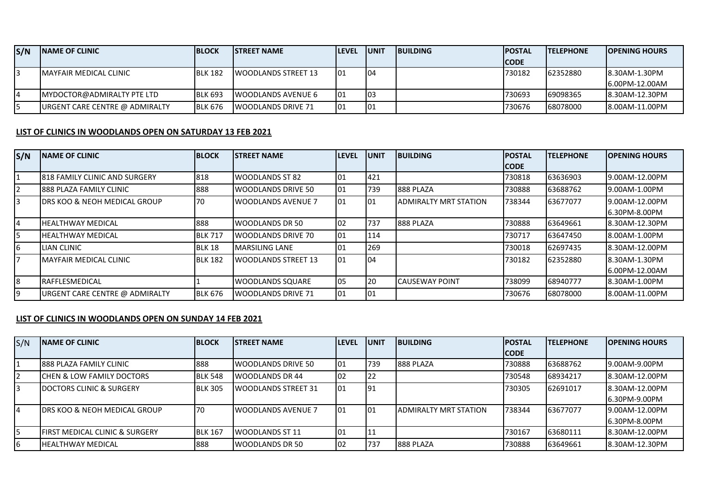| S/N | <b>INAME OF CLINIC</b>                 | <b>BLOCK</b>   | <b>ISTREET NAME</b>         | <b>ILEVEL</b> | <b>IUNIT</b> | <b>IBUILDING</b> | <b>IPOSTAL</b> | <b>ITELEPHONE</b> | <b>IOPENING HOURS</b> |
|-----|----------------------------------------|----------------|-----------------------------|---------------|--------------|------------------|----------------|-------------------|-----------------------|
|     |                                        |                |                             |               |              |                  | <b>ICODE</b>   |                   |                       |
|     | IMAYFAIR MEDICAL CLINIC                | <b>BLK 182</b> | <b>IWOODLANDS STREET 13</b> | 101           | 104          |                  | 730182         | 62352880          | 8.30AM-1.30PM         |
|     |                                        |                |                             |               |              |                  |                |                   | 16.00PM-12.00AM       |
|     | IMYDOCTOR@ADMIRALTY PTE LTD            | <b>BLK 693</b> | <b>IWOODLANDS AVENUE 6</b>  | 101           | l03          |                  | 730693         | 169098365         | 8.30AM-12.30PM        |
|     | <b>JURGENT CARE CENTRE @ ADMIRALTY</b> | <b>BLK 676</b> | <b>IWOODLANDS DRIVE 71</b>  | 01            | 101          |                  | 730676         | 68078000          | 8.00AM-11.00PM        |

## **LIST OF CLINICS IN WOODLANDS OPEN ON SATURDAY 13 FEB 2021**

| S/N | <b>INAME OF CLINIC</b>                   | <b>BLOCK</b>   | <b>STREET NAME</b>         | <b>ILEVEL</b>    | <b>UNIT</b> | <b>BUILDING</b>               | <b>IPOSTAL</b> | <b>ITELEPHONE</b> | <b>OPENING HOURS</b> |
|-----|------------------------------------------|----------------|----------------------------|------------------|-------------|-------------------------------|----------------|-------------------|----------------------|
|     |                                          |                |                            |                  |             |                               | <b>CODE</b>    |                   |                      |
|     | <b>818 FAMILY CLINIC AND SURGERY</b>     | 818            | WOODLANDS ST 82            | 01               | 421         |                               | 730818         | 63636903          | 9.00AM-12.00PM       |
|     | <b>888 PLAZA FAMILY CLINIC</b>           | 888            | WOODLANDS DRIVE 50         | 101              | 739         | 888 PLAZA                     | 730888         | 63688762          | 9.00AM-1.00PM        |
| 3   | <b>IDRS KOO &amp; NEOH MEDICAL GROUP</b> | 70             | <b>WOODLANDS AVENUE 7</b>  | $\overline{101}$ | 01          | <b>JADMIRALTY MRT STATION</b> | 738344         | 63677077          | 9.00AM-12.00PM       |
|     |                                          |                |                            |                  |             |                               |                |                   | 6.30PM-8.00PM        |
| I4  | <b>IHEALTHWAY MEDICAL</b>                | 888            | <b>WOODLANDS DR 50</b>     | 02               | 737         | 888 PLAZA                     | 730888         | 63649661          | 8.30AM-12.30PM       |
| I5  | <b>HEALTHWAY MEDICAL</b>                 | <b>BLK 717</b> | WOODLANDS DRIVE 70         | 101              | 114         |                               | 730717         | 63647450          | 8.00AM-1.00PM        |
| l6  | <b>LIAN CLINIC</b>                       | BLK 18         | <b>IMARSILING LANE</b>     | 101              | 269         |                               | 730018         | 62697435          | 8.30AM-12.00PM       |
|     | <b>IMAYFAIR MEDICAL CLINIC</b>           | <b>BLK 182</b> | <b>WOODLANDS STREET 13</b> | $\overline{101}$ | 104         |                               | 730182         | 62352880          | 8.30AM-1.30PM        |
|     |                                          |                |                            |                  |             |                               |                |                   | 6.00PM-12.00AM       |
| 18  | <b>IRAFFLESMEDICAL</b>                   |                | IWOODLANDS SQUARE          | 05               | 20          | <b>ICAUSEWAY POINT</b>        | 738099         | 68940777          | 8.30AM-1.00PM        |
| 19  | URGENT CARE CENTRE @ ADMIRALTY           | <b>BLK 676</b> | <b>IWOODLANDS DRIVE 71</b> | 01               | 01          |                               | 730676         | 68078000          | 8.00AM-11.00PM       |

## **LIST OF CLINICS IN WOODLANDS OPEN ON SUNDAY 14 FEB 2021**

| S/N | <b>INAME OF CLINIC</b>                     | <b>BLOCK</b>   | <b>ISTREET NAME</b>        | <b>ILEVEL</b> | <b>IUNIT</b> | <b>BUILDING</b>               | <b>POSTAL</b> | <b>ITELEPHONE</b> | <b>IOPENING HOURS</b> |
|-----|--------------------------------------------|----------------|----------------------------|---------------|--------------|-------------------------------|---------------|-------------------|-----------------------|
|     |                                            |                |                            |               |              |                               | <b>CODE</b>   |                   |                       |
|     | <b>1888 PLAZA FAMILY CLINIC</b>            | 888            | WOODLANDS DRIVE 50         | 101           | 739          | 888 PLAZA                     | 730888        | 63688762          | 19.00AM-9.00PM        |
|     | ICHEN & LOW FAMILY DOCTORS                 | <b>BLK 548</b> | <b>WOODLANDS DR 44</b>     | 102           | 122          |                               | 730548        | 68934217          | 8.30AM-12.00PM        |
| 3   | <b>IDOCTORS CLINIC &amp; SURGERY</b>       | <b>BLK 305</b> | <b>WOODLANDS STREET 31</b> | l01           | 191          |                               | 730305        | 62691017          | 8.30AM-12.00PM        |
|     |                                            |                |                            |               |              |                               |               |                   | 16.30PM-9.00PM        |
| 4   | <b>IDRS KOO &amp; NEOH MEDICAL GROUP</b>   | 170            | <b>WOODLANDS AVENUE 7</b>  | l01           | 101          | <b>JADMIRALTY MRT STATION</b> | 738344        | 63677077          | 19.00AM-12.00PM       |
|     |                                            |                |                            |               |              |                               |               |                   | 16.30PM-8.00PM        |
| 5   | <b>IFIRST MEDICAL CLINIC &amp; SURGERY</b> | <b>BLK 167</b> | WOODLANDS ST 11            | 101           | 11           |                               | 730167        | 63680111          | 8.30AM-12.00PM        |
| 6   | <b>IHEALTHWAY MEDICAL</b>                  | 888            | <b>WOODLANDS DR 50</b>     | 102           | 737          | 888 PLAZA                     | 730888        | 63649661          | 18.30AM-12.30PM       |